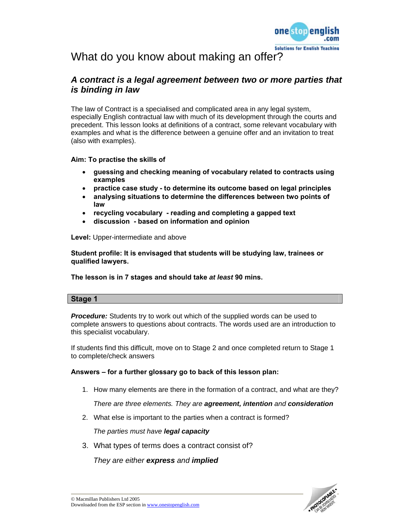

# What do you know about making an offer?

# *A contract is a legal agreement between two or more parties that is binding in law*

The law of Contract is a specialised and complicated area in any legal system, especially English contractual law with much of its development through the courts and precedent. This lesson looks at definitions of a contract, some relevant vocabulary with examples and what is the difference between a genuine offer and an invitation to treat (also with examples).

### **Aim: To practise the skills of**

- **guessing and checking meaning of vocabulary related to contracts using examples**
- **practice case study to determine its outcome based on legal principles**
- **analysing situations to determine the differences between two points of law**
- **recycling vocabulary reading and completing a gapped text**
- **discussion based on information and opinion**

**Level:** Upper-intermediate and above

**Student profile: It is envisaged that students will be studying law, trainees or qualified lawyers.** 

**The lesson is in 7 stages and should take** *at least* **90 mins.** 

#### **Stage 1**

**Procedure:** Students try to work out which of the supplied words can be used to complete answers to questions about contracts. The words used are an introduction to this specialist vocabulary.

If students find this difficult, move on to Stage 2 and once completed return to Stage 1 to complete/check answers

### **Answers – for a further glossary go to back of this lesson plan:**

1. How many elements are there in the formation of a contract, and what are they?

*There are three elements. They are agreement, intention and consideration* 

2. What else is important to the parties when a contract is formed?

*The parties must have legal capacity*

3. What types of terms does a contract consist of?

*They are either express and implied* 

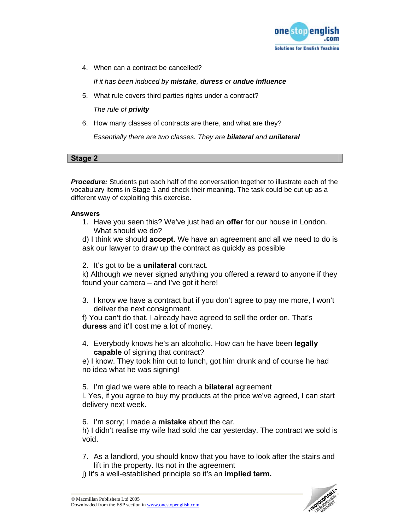

4. When can a contract be cancelled?

*If it has been induced by mistake, duress or undue influence*

5. What rule covers third parties rights under a contract?

*The rule of privity* 

6. How many classes of contracts are there, and what are they?

*Essentially there are two classes. They are bilateral and unilateral* 

**Stage 2** 

*Procedure:* Students put each half of the conversation together to illustrate each of the vocabulary items in Stage 1 and check their meaning. The task could be cut up as a different way of exploiting this exercise.

### **Answers**

1. Have you seen this? We've just had an **offer** for our house in London. What should we do?

d) I think we should **accept**. We have an agreement and all we need to do is ask our lawyer to draw up the contract as quickly as possible

2. It's got to be a **unilateral** contract.

k) Although we never signed anything you offered a reward to anyone if they found your camera – and I've got it here!

3. I know we have a contract but if you don't agree to pay me more, I won't deliver the next consignment.

f) You can't do that. I already have agreed to sell the order on. That's **duress** and it'll cost me a lot of money.

4. Everybody knows he's an alcoholic. How can he have been **legally capable** of signing that contract?

e) I know. They took him out to lunch, got him drunk and of course he had no idea what he was signing!

5. I'm glad we were able to reach a **bilateral** agreement

l. Yes, if you agree to buy my products at the price we've agreed, I can start delivery next week.

6. I'm sorry; I made a **mistake** about the car.

h) I didn't realise my wife had sold the car yesterday. The contract we sold is void.

- 7. As a landlord, you should know that you have to look after the stairs and lift in the property. Its not in the agreement
- j) It's a well-established principle so it's an **implied term.**

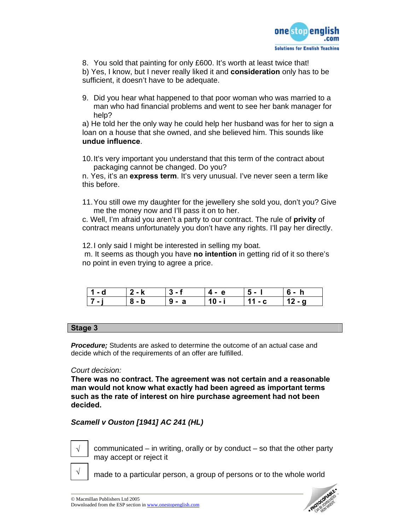

8. You sold that painting for only £600. It's worth at least twice that! b) Yes, I know, but I never really liked it and **consideration** only has to be sufficient, it doesn't have to be adequate.

9. Did you hear what happened to that poor woman who was married to a man who had financial problems and went to see her bank manager for help?

a) He told her the only way he could help her husband was for her to sign a loan on a house that she owned, and she believed him. This sounds like **undue influence**.

10. It's very important you understand that this term of the contract about packaging cannot be changed. Do you?

n. Yes, it's an **express term**. It's very unusual. I've never seen a term like this before.

11. You still owe my daughter for the jewellery she sold you, don't you? Give me the money now and I'll pass it on to her.

c. Well, I'm afraid you aren't a party to our contract. The rule of **privity** of contract means unfortunately you don't have any rights. I'll pay her directly.

12. I only said I might be interested in selling my boat.

 m. It seems as though you have **no intention** in getting rid of it so there's no point in even trying to agree a price.

| $\overline{\phantom{0}}$<br>- q | $\blacksquare$ | ا - دن - | . 4-е | э- | n |
|---------------------------------|----------------|----------|-------|----|---|
| $\overline{1}$                  |                | а<br>ы - | . .   |    |   |

### **Stage 3**

*Procedure;* Students are asked to determine the outcome of an actual case and decide which of the requirements of an offer are fulfilled.

### *Court decision:*

**There was no contract. The agreement was not certain and a reasonable man would not know what exactly had been agreed as important terms such as the rate of interest on hire purchase agreement had not been decided.** 

## *Scamell v Ouston [1941] AC 241 (HL)*



**√**

communicated – in writing, orally or by conduct – so that the other party may accept or reject it

made to a particular person, a group of persons or to the whole world

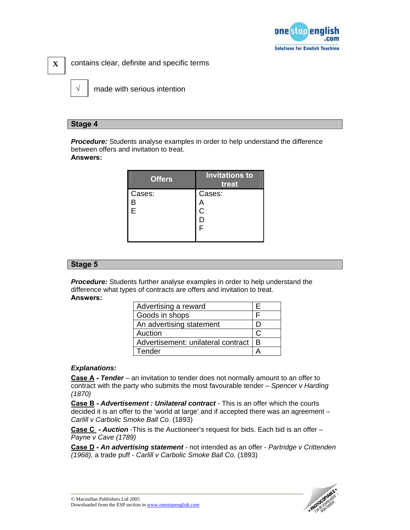

contains clear, definite and specific terms

**√**

**X** 

made with serious intention

### **Stage 4**

*Procedure:* Students analyse examples in order to help understand the difference between offers and invitation to treat. **Answers:** 

| <b>Offers</b> | <b>Invitations to</b><br>treat |
|---------------|--------------------------------|
| Cases:        | Cases:                         |
| ⊃             |                                |
| Ė             | C                              |
|               |                                |
|               |                                |
|               |                                |

### **Stage 5**

**Procedure:** Students further analyse examples in order to help understand the difference what types of contracts are offers and invitation to treat. **Answers:** 

| Advertising a reward               | ⊢ |
|------------------------------------|---|
| Goods in shops                     |   |
| An advertising statement           |   |
| Auction                            |   |
| Advertisement: unilateral contract | в |
| Tender                             |   |

### *Explanations:*

**Case A -** *Tender* – an invitation to tender does not normally amount to an offer to contract with the party who submits the most favourable tender – *Spencer v Harding (1870)* 

**Case B -** *Advertisement : Unilateral contract* - This is an offer which the courts decided it is an offer to the 'world at large' and if accepted there was an agreement – *Carlill v Carbolic Smoke Ball Co.* (1893)

**Case C -** *Auction* -This is the Auctioneer's request for bids. Each bid is an offer – *Payne v Cave (1789)* 

**Case D -** *An advertising statement* - not intended as an offer - *Partridge v Crittenden (1968),* a trade puff - *Carlill v Carbolic Smoke Ball Co.* (1893)

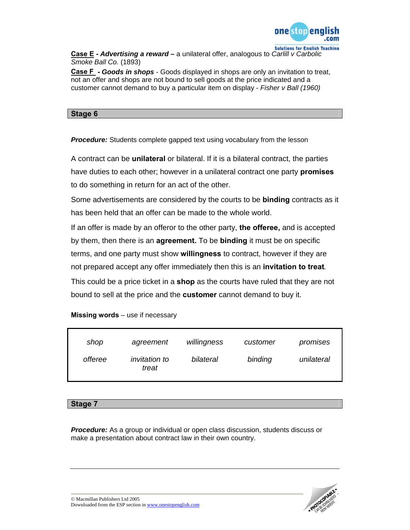

**Case E -** *Advertising a reward –* a unilateral offer, analogous to *Carlill v Carbolic Smoke Ball Co.* (1893)

**Case F -** *Goods in shops* - Goods displayed in shops are only an invitation to treat, not an offer and shops are not bound to sell goods at the price indicated and a customer cannot demand to buy a particular item on display - *Fisher v Ball (1960)* 

### **Stage 6**

**Procedure:** Students complete gapped text using vocabulary from the lesson

A contract can be **unilateral** or bilateral. If it is a bilateral contract, the parties have duties to each other; however in a unilateral contract one party **promises**  to do something in return for an act of the other.

Some advertisements are considered by the courts to be **binding** contracts as it has been held that an offer can be made to the whole world.

If an offer is made by an offeror to the other party, **the offeree,** and is accepted by them, then there is an **agreement.** To be **binding** it must be on specific terms, and one party must show **willingness** to contract, however if they are not prepared accept any offer immediately then this is an **invitation to treat***.* 

This could be a price ticket in a **shop** as the courts have ruled that they are not bound to sell at the price and the **customer** cannot demand to buy it.

| shop    | agreement                     | willingness | customer | promises   |
|---------|-------------------------------|-------------|----------|------------|
| offeree | <i>invitation to</i><br>treat | bilateral   | binding  | unilateral |

### **Missing words** – use if necessary

#### **Stage 7**

*Procedure:* As a group or individual or open class discussion, students discuss or make a presentation about contract law in their own country.